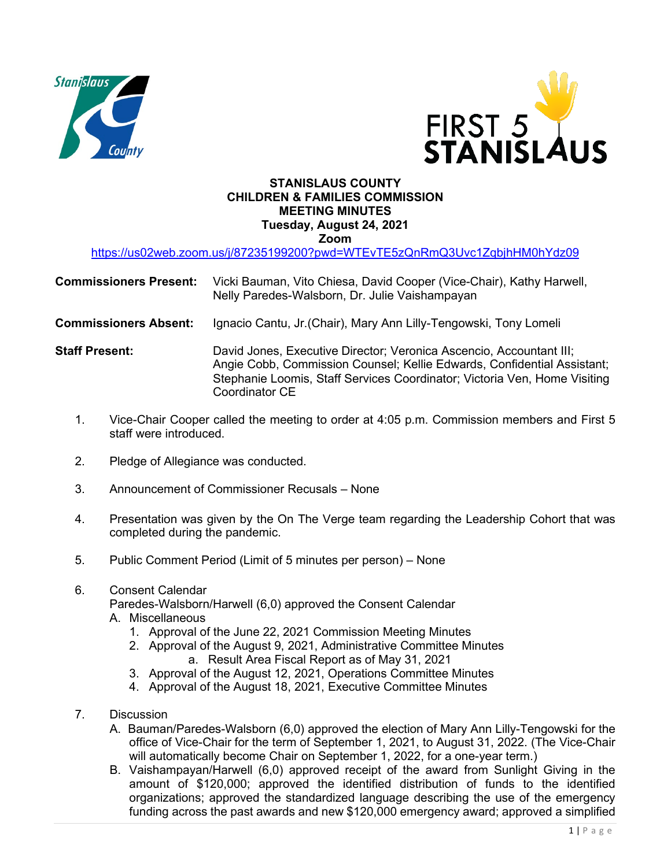



## **STANISLAUS COUNTY CHILDREN & FAMILIES COMMISSION MEETING MINUTES Tuesday, August 24, 2021 Zoom**

<https://us02web.zoom.us/j/87235199200?pwd=WTEvTE5zQnRmQ3Uvc1ZqbjhHM0hYdz09>

| <b>Commissioners Present:</b> Vicki Bauman, Vito Chiesa, David Cooper (Vice-Chair), Kathy Harwell, |
|----------------------------------------------------------------------------------------------------|
| Nelly Paredes-Walsborn, Dr. Julie Vaishampayan                                                     |

**Commissioners Absent:** Ignacio Cantu, Jr.(Chair), Mary Ann Lilly-Tengowski, Tony Lomeli

- **Staff Present:** David Jones, Executive Director; Veronica Ascencio, Accountant III; Angie Cobb, Commission Counsel; Kellie Edwards, Confidential Assistant; Stephanie Loomis, Staff Services Coordinator; Victoria Ven, Home Visiting Coordinator CE
	- 1. Vice-Chair Cooper called the meeting to order at 4:05 p.m. Commission members and First 5 staff were introduced.
	- 2. Pledge of Allegiance was conducted.
	- 3. Announcement of Commissioner Recusals None
	- 4. Presentation was given by the On The Verge team regarding the Leadership Cohort that was completed during the pandemic.
	- 5. Public Comment Period (Limit of 5 minutes per person) None
	- 6. Consent Calendar

Paredes-Walsborn/Harwell (6,0) approved the Consent Calendar

- A. Miscellaneous
	- 1. Approval of the June 22, 2021 Commission Meeting Minutes
	- 2. Approval of the August 9, 2021, Administrative Committee Minutes
		- a. Result Area Fiscal Report as of May 31, 2021
	- 3. Approval of the August 12, 2021, Operations Committee Minutes
	- 4. Approval of the August 18, 2021, Executive Committee Minutes
- 7. Discussion
	- A. Bauman/Paredes-Walsborn (6,0) approved the election of Mary Ann Lilly-Tengowski for the office of Vice-Chair for the term of September 1, 2021, to August 31, 2022. (The Vice-Chair will automatically become Chair on September 1, 2022, for a one-year term.)
	- B. Vaishampayan/Harwell (6,0) approved receipt of the award from Sunlight Giving in the amount of \$120,000; approved the identified distribution of funds to the identified organizations; approved the standardized language describing the use of the emergency funding across the past awards and new \$120,000 emergency award; approved a simplified